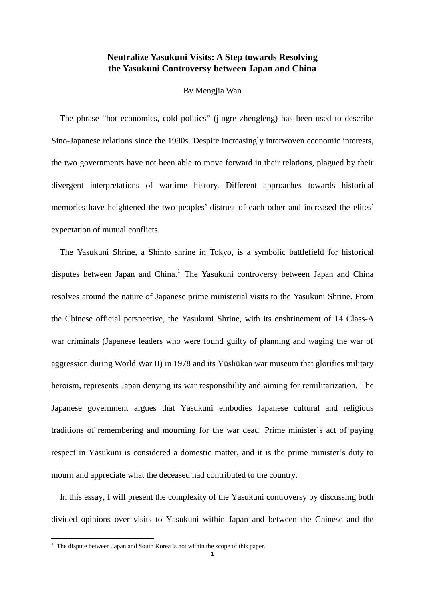# **Neutralize Yasukuni Visits: A Step towards Resolving the Yasukuni Controversy between Japan and China**

## By Mengjia Wan

The phrase "hot economics, cold politics" (jingre zhengleng) has been used to describe Sino-Japanese relations since the 1990s. Despite increasingly interwoven economic interests, the two governments have not been able to move forward in their relations, plagued by their divergent interpretations of wartime history. Different approaches towards historical memories have heightened the two peoples' distrust of each other and increased the elites' expectation of mutual conflicts.

The Yasukuni Shrine, a Shintō shrine in Tokyo, is a symbolic battlefield for historical disputes between Japan and China.<sup>1</sup> The Yasukuni controversy between Japan and China resolves around the nature of Japanese prime ministerial visits to the Yasukuni Shrine. From the Chinese official perspective, the Yasukuni Shrine, with its enshrinement of 14 Class-A war criminals (Japanese leaders who were found guilty of planning and waging the war of aggression during World War II) in 1978 and its Yūshūkan war museum that glorifies military heroism, represents Japan denying its war responsibility and aiming for remilitarization. The Japanese government argues that Yasukuni embodies Japanese cultural and religious traditions of remembering and mourning for the war dead. Prime minister's act of paying respect in Yasukuni is considered a domestic matter, and it is the prime minister's duty to mourn and appreciate what the deceased had contributed to the country.

In this essay, I will present the complexity of the Yasukuni controversy by discussing both divided opinions over visits to Yasukuni within Japan and between the Chinese and the

 $1$  The dispute between Japan and South Korea is not within the scope of this paper.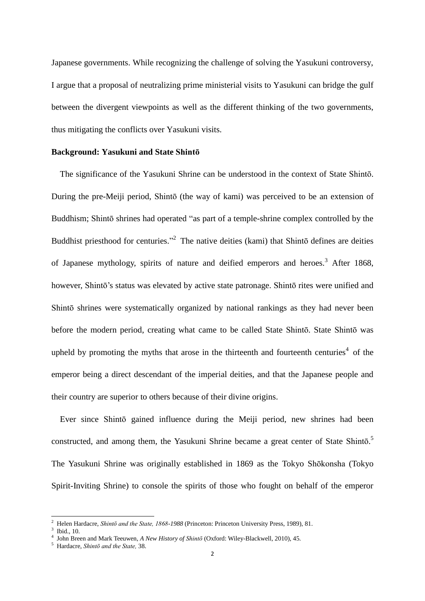Japanese governments. While recognizing the challenge of solving the Yasukuni controversy, I argue that a proposal of neutralizing prime ministerial visits to Yasukuni can bridge the gulf between the divergent viewpoints as well as the different thinking of the two governments, thus mitigating the conflicts over Yasukuni visits.

#### **Background: Yasukuni and State Shintō**

The significance of the Yasukuni Shrine can be understood in the context of State Shintō. During the pre-Meiji period, Shintō (the way of kami) was perceived to be an extension of Buddhism; Shintō shrines had operated "as part of a temple-shrine complex controlled by the Buddhist priesthood for centuries."<sup>2</sup> The native deities (kami) that Shintō defines are deities of Japanese mythology, spirits of nature and deified emperors and heroes.<sup>3</sup> After 1868, however, Shintō's status was elevated by active state patronage. Shintō rites were unified and Shintō shrines were systematically organized by national rankings as they had never been before the modern period, creating what came to be called State Shintō. State Shintō was upheld by promoting the myths that arose in the thirteenth and fourteenth centuries<sup>4</sup> of the emperor being a direct descendant of the imperial deities, and that the Japanese people and their country are superior to others because of their divine origins.

Ever since Shintō gained influence during the Meiji period, new shrines had been constructed, and among them, the Yasukuni Shrine became a great center of State Shintō.<sup>5</sup> The Yasukuni Shrine was originally established in 1869 as the Tokyo Shōkonsha (Tokyo Spirit-Inviting Shrine) to console the spirits of those who fought on behalf of the emperor

<sup>2</sup> Helen Hardacre, *Shintō and the State, 1868-1988* (Princeton: Princeton University Press, 1989), 81.

<sup>3</sup> Ibid., 10.

<sup>4</sup> John Breen and Mark Teeuwen, *A New History of Shintō* (Oxford: Wiley-Blackwell, 2010), 45.

<sup>5</sup> Hardacre, *Shintō and the State,* 38.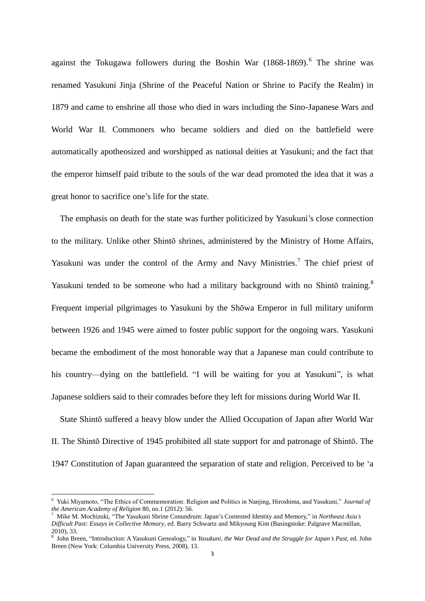against the Tokugawa followers during the Boshin War (1868-1869).<sup>6</sup> The shrine was renamed Yasukuni Jinja (Shrine of the Peaceful Nation or Shrine to Pacify the Realm) in 1879 and came to enshrine all those who died in wars including the Sino-Japanese Wars and World War II. Commoners who became soldiers and died on the battlefield were automatically apotheosized and worshipped as national deities at Yasukuni; and the fact that the emperor himself paid tribute to the souls of the war dead promoted the idea that it was a great honor to sacrifice one's life for the state.

The emphasis on death for the state was further politicized by Yasukuni's close connection to the military. Unlike other Shintō shrines, administered by the Ministry of Home Affairs, Yasukuni was under the control of the Army and Navy Ministries.<sup>7</sup> The chief priest of Yasukuni tended to be someone who had a military background with no Shintō training.<sup>8</sup> Frequent imperial pilgrimages to Yasukuni by the Shōwa Emperor in full military uniform between 1926 and 1945 were aimed to foster public support for the ongoing wars. Yasukuni became the embodiment of the most honorable way that a Japanese man could contribute to his country—dying on the battlefield. "I will be waiting for you at Yasukuni", is what Japanese soldiers said to their comrades before they left for missions during World War II.

State Shintō suffered a heavy blow under the Allied Occupation of Japan after World War II. The Shintō Directive of 1945 prohibited all state support for and patronage of Shintō. The 1947 Constitution of Japan guaranteed the separation of state and religion. Perceived to be 'a

<sup>6</sup> Yuki Miyamoto, "The Ethics of Commemoration: Religion and Politics in Nanjing, Hiroshima, and Yasukuni," *Journal of the American Academy of Religion* 80, no.1 (2012): 56.<br><sup>7</sup> Mike M Mochimki "The Vesulani Shrine Cosumbus"

<sup>7</sup> Mike M. Mochizuki, "The Yasukuni Shrine Conundrum: Japan's Contested Identity and Memory," in *Northeast Asia's Difficult Past: Essays in Collective Memory*, ed. Barry Schwartz and Mikyoung Kim (Basingstoke: Palgrave Macmillan, 2010), 33.

<sup>8</sup> John Breen, "Introduction: A Yasukuni Genealogy," in *Yasukuni, the War Dead and the Struggle for Japan's Past*, ed. John Breen (New York: Columbia University Press, 2008), 13.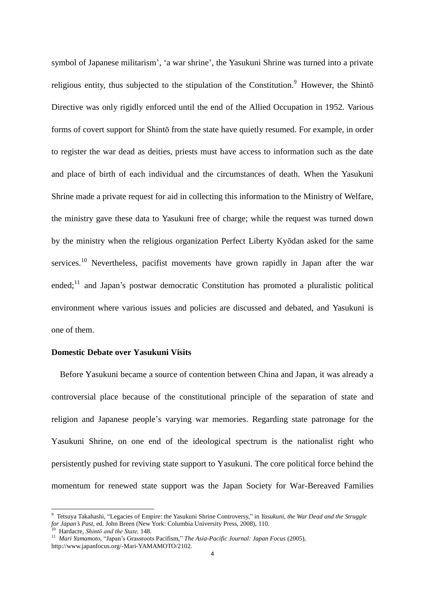symbol of Japanese militarism', 'a war shrine', the Yasukuni Shrine was turned into a private religious entity, thus subjected to the stipulation of the Constitution.<sup>9</sup> However, the Shintō Directive was only rigidly enforced until the end of the Allied Occupation in 1952. Various forms of covert support for Shintō from the state have quietly resumed. For example, in order to register the war dead as deities, priests must have access to information such as the date and place of birth of each individual and the circumstances of death. When the Yasukuni Shrine made a private request for aid in collecting this information to the Ministry of Welfare, the ministry gave these data to Yasukuni free of charge; while the request was turned down by the ministry when the religious organization Perfect Liberty Kyōdan asked for the same services.<sup>10</sup> Nevertheless, pacifist movements have grown rapidly in Japan after the war ended;<sup>11</sup> and Japan's postwar democratic Constitution has promoted a pluralistic political environment where various issues and policies are discussed and debated, and Yasukuni is one of them.

#### **Domestic Debate over Yasukuni Visits**

Before Yasukuni became a source of contention between China and Japan, it was already a controversial place because of the constitutional principle of the separation of state and religion and Japanese people's varying war memories. Regarding state patronage for the Yasukuni Shrine, on one end of the ideological spectrum is the nationalist right who persistently pushed for reviving state support to Yasukuni. The core political force behind the momentum for renewed state support was the Japan Society for War-Bereaved Families

<sup>9</sup> Tetsuya Takahashi, "Legacies of Empire: the Yasukuni Shrine Controversy," in *Yasukuni, the War Dead and the Struggle for Japan's Past*, ed. John Breen (New York: Columbia University Press, 2008), 110.

<sup>10</sup> Hardacre, *Shintō and the State,* 148.

<sup>11</sup> *Mari Yamamoto,* "Japan's Grassroots Pacifism," *The Asia-Pacific Journal: Japan Focus* (2005), http://www.japanfocus.org/-Mari-YAMAMOTO/2102.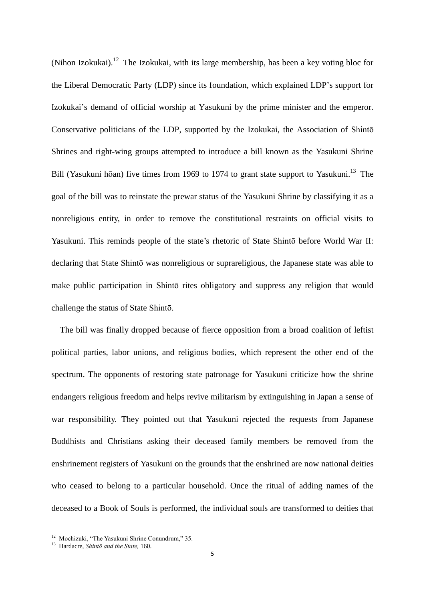(Nihon Izokukai).<sup>12</sup> The Izokukai, with its large membership, has been a key voting bloc for the Liberal Democratic Party (LDP) since its foundation, which explained LDP's support for Izokukai's demand of official worship at Yasukuni by the prime minister and the emperor. Conservative politicians of the LDP, supported by the Izokukai, the Association of Shintō Shrines and right-wing groups attempted to introduce a bill known as the Yasukuni Shrine Bill (Yasukuni hōan) five times from 1969 to 1974 to grant state support to Yasukuni.<sup>13</sup> The goal of the bill was to reinstate the prewar status of the Yasukuni Shrine by classifying it as a nonreligious entity, in order to remove the constitutional restraints on official visits to Yasukuni. This reminds people of the state's rhetoric of State Shintō before World War II: declaring that State Shintō was nonreligious or suprareligious, the Japanese state was able to make public participation in Shintō rites obligatory and suppress any religion that would challenge the status of State Shintō.

The bill was finally dropped because of fierce opposition from a broad coalition of leftist political parties, labor unions, and religious bodies, which represent the other end of the spectrum. The opponents of restoring state patronage for Yasukuni criticize how the shrine endangers religious freedom and helps revive militarism by extinguishing in Japan a sense of war responsibility. They pointed out that Yasukuni rejected the requests from Japanese Buddhists and Christians asking their deceased family members be removed from the enshrinement registers of Yasukuni on the grounds that the enshrined are now national deities who ceased to belong to a particular household. Once the ritual of adding names of the deceased to a Book of Souls is performed, the individual souls are transformed to deities that

<sup>&</sup>lt;sup>12</sup> Mochizuki, "The Yasukuni Shrine Conundrum," 35.

<sup>13</sup> Hardacre, *Shintō and the State,* 160.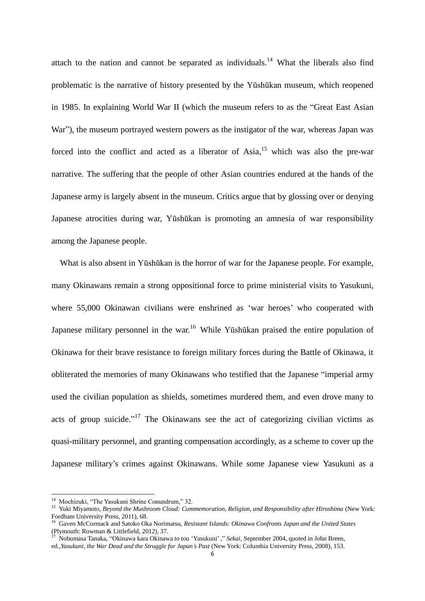attach to the nation and cannot be separated as individuals.<sup>14</sup> What the liberals also find problematic is the narrative of history presented by the Yūshūkan museum, which reopened in 1985. In explaining World War II (which the museum refers to as the "Great East Asian War"), the museum portrayed western powers as the instigator of the war, whereas Japan was forced into the conflict and acted as a liberator of  $Asia$ ,<sup>15</sup> which was also the pre-war narrative. The suffering that the people of other Asian countries endured at the hands of the Japanese army is largely absent in the museum. Critics argue that by glossing over or denying Japanese atrocities during war, Yūshūkan is promoting an amnesia of war responsibility among the Japanese people.

What is also absent in Yūshūkan is the horror of war for the Japanese people. For example, many Okinawans remain a strong oppositional force to prime ministerial visits to Yasukuni, where 55,000 Okinawan civilians were enshrined as 'war heroes' who cooperated with Japanese military personnel in the war.<sup>16</sup> While Yūshūkan praised the entire population of Okinawa for their brave resistance to foreign military forces during the Battle of Okinawa, it obliterated the memories of many Okinawans who testified that the Japanese "imperial army used the civilian population as shields, sometimes murdered them, and even drove many to acts of group suicide."<sup>17</sup> The Okinawans see the act of categorizing civilian victims as quasi-military personnel, and granting compensation accordingly, as a scheme to cover up the Japanese military's crimes against Okinawans. While some Japanese view Yasukuni as a

<sup>&</sup>lt;sup>14</sup> Mochizuki, "The Yasukuni Shrine Conundrum," 32.

<sup>15</sup> Yuki Miyamoto, *Beyond the Mushroom Cloud: Commemoration, Religion, and Responsibility after Hiroshima* (New York: Fordham University Press, 2011), 68.

<sup>16</sup> Gaven McCormack and Satoko Oka Norimatsu, *Resistant Islands: Okinawa Confronts Japan and the United States* (Plymouth: Rowman & Littlefield, 2012), 37.

<sup>17</sup> Nobumasa Tanaka, "Okinawa kara Okinawa to tou 'Yasukuni' ," *Sekai*, September 2004, quoted in John Breen,

ed.,*Yasukuni, the War Dead and the Struggle for Japan's Past* (New York: Columbia University Press, 2008), 153.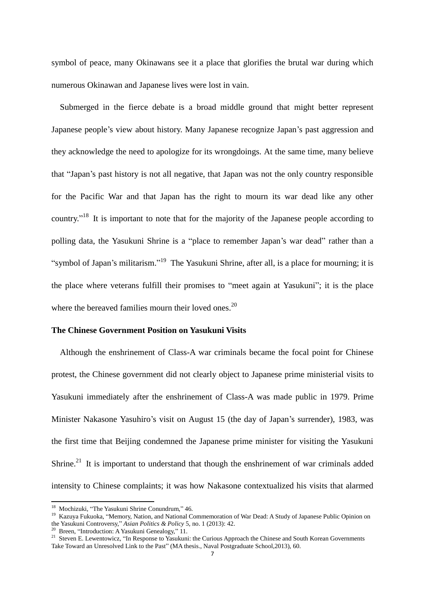symbol of peace, many Okinawans see it a place that glorifies the brutal war during which numerous Okinawan and Japanese lives were lost in vain.

Submerged in the fierce debate is a broad middle ground that might better represent Japanese people's view about history. Many Japanese recognize Japan's past aggression and they acknowledge the need to apologize for its wrongdoings. At the same time, many believe that "Japan's past history is not all negative, that Japan was not the only country responsible for the Pacific War and that Japan has the right to mourn its war dead like any other country."<sup>18</sup> It is important to note that for the majority of the Japanese people according to polling data, the Yasukuni Shrine is a "place to remember Japan's war dead" rather than a "symbol of Japan's militarism."<sup>19</sup> The Yasukuni Shrine, after all, is a place for mourning; it is the place where veterans fulfill their promises to "meet again at Yasukuni"; it is the place where the bereaved families mourn their loved ones.<sup>20</sup>

#### **The Chinese Government Position on Yasukuni Visits**

Although the enshrinement of Class-A war criminals became the focal point for Chinese protest, the Chinese government did not clearly object to Japanese prime ministerial visits to Yasukuni immediately after the enshrinement of Class-A was made public in 1979. Prime Minister Nakasone Yasuhiro's visit on August 15 (the day of Japan's surrender), 1983, was the first time that Beijing condemned the Japanese prime minister for visiting the Yasukuni Shrine.<sup>21</sup> It is important to understand that though the enshrinement of war criminals added intensity to Chinese complaints; it was how Nakasone contextualized his visits that alarmed

<sup>&</sup>lt;sup>18</sup> Mochizuki, "The Yasukuni Shrine Conundrum," 46.

<sup>&</sup>lt;sup>19</sup> Kazuya Fukuoka, "Memory, Nation, and National Commemoration of War Dead: A Study of Japanese Public Opinion on the Yasukuni Controversy," *Asian Politics & Policy* 5, no. 1 (2013): 42.

<sup>&</sup>lt;sup>20</sup> Breen, "Introduction: A Yasukuni Genealogy," 11.

<sup>&</sup>lt;sup>21</sup> Steven E. Lewentowicz, "In Response to Yasukuni: the Curious Approach the Chinese and South Korean Governments Take Toward an Unresolved Link to the Past" (MA thesis., Naval Postgraduate School,2013), 60.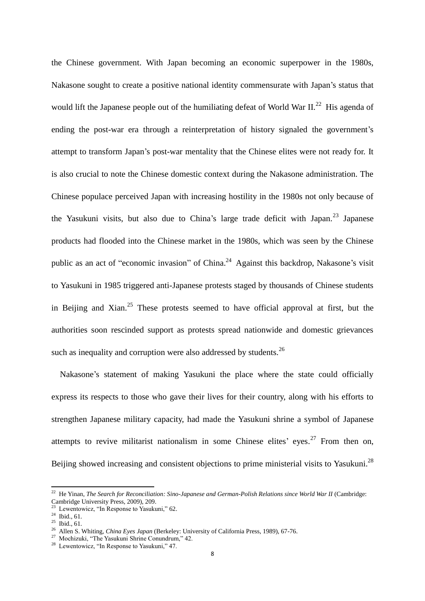the Chinese government. With Japan becoming an economic superpower in the 1980s, Nakasone sought to create a positive national identity commensurate with Japan's status that would lift the Japanese people out of the humiliating defeat of World War II.<sup>22</sup> His agenda of ending the post-war era through a reinterpretation of history signaled the government's attempt to transform Japan's post-war mentality that the Chinese elites were not ready for. It is also crucial to note the Chinese domestic context during the Nakasone administration. The Chinese populace perceived Japan with increasing hostility in the 1980s not only because of the Yasukuni visits, but also due to China's large trade deficit with Japan.<sup>23</sup> Japanese products had flooded into the Chinese market in the 1980s, which was seen by the Chinese public as an act of "economic invasion" of China.<sup>24</sup> Against this backdrop, Nakasone's visit to Yasukuni in 1985 triggered anti-Japanese protests staged by thousands of Chinese students in Beijing and Xian.<sup>25</sup> These protests seemed to have official approval at first, but the authorities soon rescinded support as protests spread nationwide and domestic grievances such as inequality and corruption were also addressed by students. $^{26}$ 

Nakasone's statement of making Yasukuni the place where the state could officially express its respects to those who gave their lives for their country, along with his efforts to strengthen Japanese military capacity, had made the Yasukuni shrine a symbol of Japanese attempts to revive militarist nationalism in some Chinese elites' eyes.<sup>27</sup> From then on, Beijing showed increasing and consistent objections to prime ministerial visits to Yasukuni.<sup>28</sup>

 $22$  He Yinan, *The Search for Reconciliation: Sino-Japanese and German-Polish Relations since World War II* (Cambridge: Cambridge University Press, 2009), 209.

<sup>23</sup> Lewentowicz, "In Response to Yasukuni," 62.

 $^{24}$  Ibid., 61.

 $^{25}$  Ibid., 61.

<sup>26</sup> Allen S. Whiting, *China Eyes Japan* (Berkeley: University of California Press, 1989), 67-76.

<sup>27</sup> Mochizuki, "The Yasukuni Shrine Conundrum," 42.

<sup>28</sup> Lewentowicz, "In Response to Yasukuni," 47.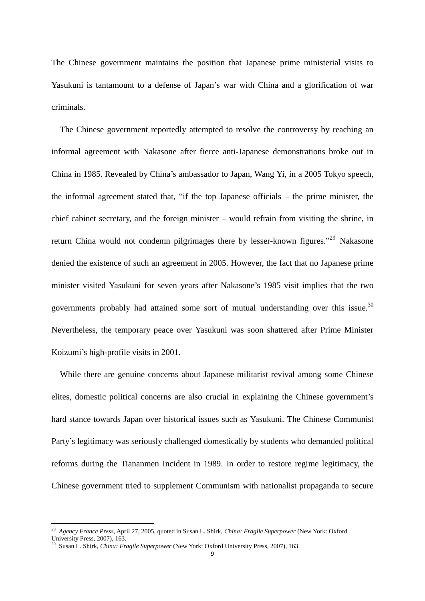The Chinese government maintains the position that Japanese prime ministerial visits to Yasukuni is tantamount to a defense of Japan's war with China and a glorification of war criminals.

The Chinese government reportedly attempted to resolve the controversy by reaching an informal agreement with Nakasone after fierce anti-Japanese demonstrations broke out in China in 1985. Revealed by China's ambassador to Japan, Wang Yi, in a 2005 Tokyo speech, the informal agreement stated that, "if the top Japanese officials – the prime minister, the chief cabinet secretary, and the foreign minister – would refrain from visiting the shrine, in return China would not condemn pilgrimages there by lesser-known figures."<sup>29</sup> Nakasone denied the existence of such an agreement in 2005. However, the fact that no Japanese prime minister visited Yasukuni for seven years after Nakasone's 1985 visit implies that the two governments probably had attained some sort of mutual understanding over this issue.<sup>30</sup> Nevertheless, the temporary peace over Yasukuni was soon shattered after Prime Minister Koizumi's high-profile visits in 2001.

While there are genuine concerns about Japanese militarist revival among some Chinese elites, domestic political concerns are also crucial in explaining the Chinese government's hard stance towards Japan over historical issues such as Yasukuni. The Chinese Communist Party's legitimacy was seriously challenged domestically by students who demanded political reforms during the Tiananmen Incident in 1989. In order to restore regime legitimacy, the Chinese government tried to supplement Communism with nationalist propaganda to secure

<sup>29</sup> *Agency France Press*, April 27, 2005, quoted in Susan L. Shirk, *China: Fragile Superpower* (New York: Oxford University Press, 2007), 163.

<sup>30</sup> Susan L. Shirk, *China: Fragile Superpower* (New York: Oxford University Press, 2007), 163.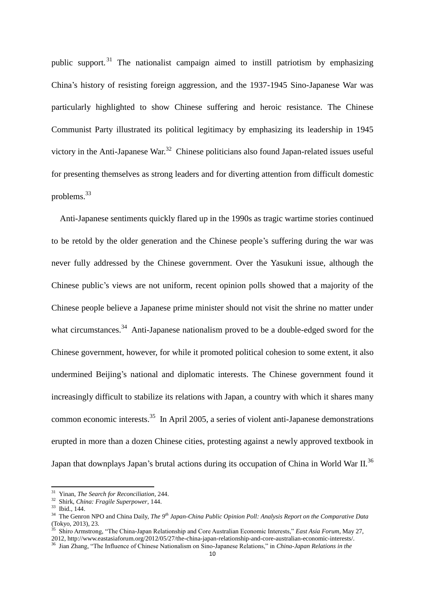public support.<sup>31</sup> The nationalist campaign aimed to instill patriotism by emphasizing China's history of resisting foreign aggression, and the 1937-1945 Sino-Japanese War was particularly highlighted to show Chinese suffering and heroic resistance. The Chinese Communist Party illustrated its political legitimacy by emphasizing its leadership in 1945 victory in the Anti-Japanese War.<sup>32</sup> Chinese politicians also found Japan-related issues useful for presenting themselves as strong leaders and for diverting attention from difficult domestic problems.<sup>33</sup>

Anti-Japanese sentiments quickly flared up in the 1990s as tragic wartime stories continued to be retold by the older generation and the Chinese people's suffering during the war was never fully addressed by the Chinese government. Over the Yasukuni issue, although the Chinese public's views are not uniform, recent opinion polls showed that a majority of the Chinese people believe a Japanese prime minister should not visit the shrine no matter under what circumstances.<sup>34</sup> Anti-Japanese nationalism proved to be a double-edged sword for the Chinese government, however, for while it promoted political cohesion to some extent, it also undermined Beijing's national and diplomatic interests. The Chinese government found it increasingly difficult to stabilize its relations with Japan, a country with which it shares many common economic interests.<sup>35</sup> In April 2005, a series of violent anti-Japanese demonstrations erupted in more than a dozen Chinese cities, protesting against a newly approved textbook in Japan that downplays Japan's brutal actions during its occupation of China in World War II.<sup>36</sup>

<sup>31</sup> Yinan, *The Search for Reconciliation,* 244.

<sup>32</sup> Shirk, *China: Fragile Superpower*, 144.

<sup>33</sup> Ibid., 144.

<sup>34</sup> The Genron NPO and China Daily, *The 9th Japan-China Public Opinion Poll: Analysis Report on the Comparative Data*  (Tokyo, 2013), 23.

<sup>35</sup> Shiro Armstrong, "The China-Japan Relationship and Core Australian Economic Interests," *East Asia Forum*, May 27,

<sup>2012,</sup> http://www.eastasiaforum.org/2012/05/27/the-china-japan-relationship-and-core-australian-economic-interests/. <sup>36</sup> Jian Zhang, "The Influence of Chinese Nationalism on Sino-Japanese Relations," in *China-Japan Relations in the* 

 $1<sub>0</sub>$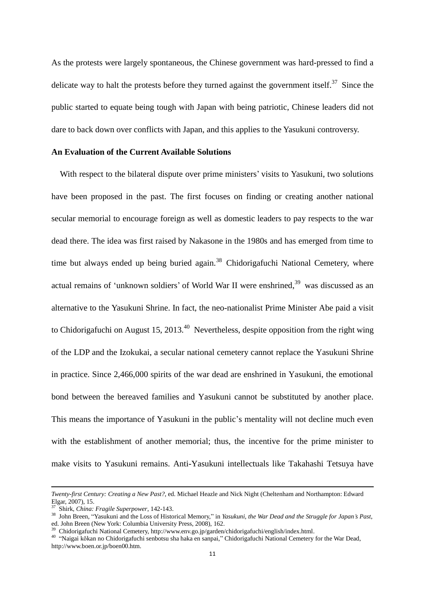As the protests were largely spontaneous, the Chinese government was hard-pressed to find a delicate way to halt the protests before they turned against the government itself.<sup>37</sup> Since the public started to equate being tough with Japan with being patriotic, Chinese leaders did not dare to back down over conflicts with Japan, and this applies to the Yasukuni controversy.

## **An Evaluation of the Current Available Solutions**

With respect to the bilateral dispute over prime ministers' visits to Yasukuni, two solutions have been proposed in the past. The first focuses on finding or creating another national secular memorial to encourage foreign as well as domestic leaders to pay respects to the war dead there. The idea was first raised by Nakasone in the 1980s and has emerged from time to time but always ended up being buried again.<sup>38</sup> Chidorigafuchi National Cemetery, where actual remains of 'unknown soldiers' of World War II were enshrined,<sup>39</sup> was discussed as an alternative to the Yasukuni Shrine. In fact, the neo-nationalist Prime Minister Abe paid a visit to Chidorigafuchi on August 15, 2013.<sup>40</sup> Nevertheless, despite opposition from the right wing of the LDP and the Izokukai, a secular national cemetery cannot replace the Yasukuni Shrine in practice. Since 2,466,000 spirits of the war dead are enshrined in Yasukuni, the emotional bond between the bereaved families and Yasukuni cannot be substituted by another place. This means the importance of Yasukuni in the public's mentality will not decline much even with the establishment of another memorial; thus, the incentive for the prime minister to make visits to Yasukuni remains. Anti-Yasukuni intellectuals like Takahashi Tetsuya have

-

<sup>38</sup> John Breen, "Yasukuni and the Loss of Historical Memory," in *Yasukuni, the War Dead and the Struggle for Japan's Past*, ed. John Breen (New York: Columbia University Press, 2008), 162.

*Twenty-first Century: Creating a New Past?*, ed. Michael Heazle and Nick Night (Cheltenham and Northampton: Edward Elgar, 2007), 15.

<sup>37</sup> Shirk, *China: Fragile Superpower*, 142-143.

<sup>39</sup> Chidorigafuchi National Cemetery, http://www.env.go.jp/garden/chidorigafuchi/english/index.html.

<sup>40</sup> "Naigai kōkan no Chidorigafuchi senbotsu sha haka en sanpai," Chidorigafuchi National Cemetery for the War Dead, http://www.boen.or.jp/boen00.htm.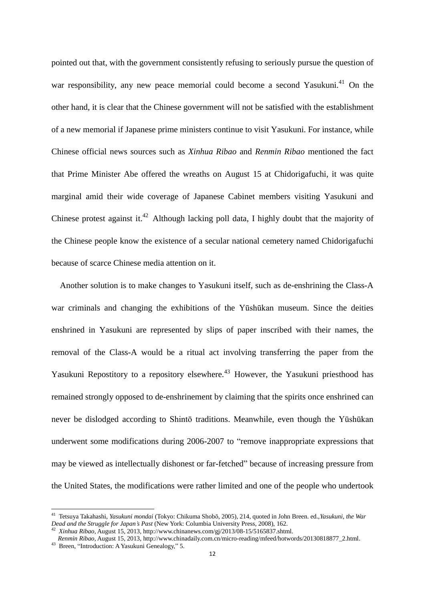pointed out that, with the government consistently refusing to seriously pursue the question of war responsibility, any new peace memorial could become a second Yasukuni.<sup>41</sup> On the other hand, it is clear that the Chinese government will not be satisfied with the establishment of a new memorial if Japanese prime ministers continue to visit Yasukuni. For instance, while Chinese official news sources such as *Xinhua Ribao* and *Renmin Ribao* mentioned the fact that Prime Minister Abe offered the wreaths on August 15 at Chidorigafuchi, it was quite marginal amid their wide coverage of Japanese Cabinet members visiting Yasukuni and Chinese protest against it.<sup>42</sup> Although lacking poll data, I highly doubt that the majority of the Chinese people know the existence of a secular national cemetery named Chidorigafuchi because of scarce Chinese media attention on it.

Another solution is to make changes to Yasukuni itself, such as de-enshrining the Class-A war criminals and changing the exhibitions of the Yūshūkan museum. Since the deities enshrined in Yasukuni are represented by slips of paper inscribed with their names, the removal of the Class-A would be a ritual act involving transferring the paper from the Yasukuni Repostitory to a repository elsewhere.<sup>43</sup> However, the Yasukuni priesthood has remained strongly opposed to de-enshrinement by claiming that the spirits once enshrined can never be dislodged according to Shintō traditions. Meanwhile, even though the Yūshūkan underwent some modifications during 2006-2007 to "remove inappropriate expressions that may be viewed as intellectually dishonest or far-fetched" because of increasing pressure from the United States, the modifications were rather limited and one of the people who undertook

<sup>41</sup> Tetsuya Takahashi, *Yasukuni mondai* (Tokyo: Chikuma Shobō, 2005), 214, quoted in John Breen. ed.,*Yasukuni, the War Dead and the Struggle for Japan's Past* (New York: Columbia University Press, 2008), 162.

<sup>42</sup> *Xinhua Ribao,* August 15, 2013, http://www.chinanews.com/gj/2013/08-15/5165837.shtml.

*Renmin Ribao*, August 15, 2013, http://www.chinadaily.com.cn/micro-reading/mfeed/hotwords/20130818877\_2.html.

<sup>43</sup> Breen, "Introduction: A Yasukuni Genealogy," 5.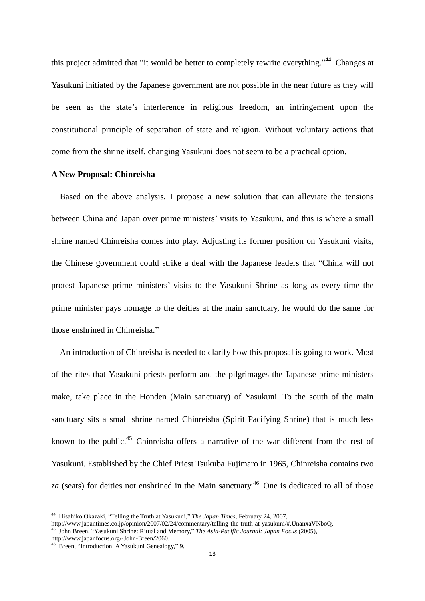this project admitted that "it would be better to completely rewrite everything."<sup>44</sup> Changes at Yasukuni initiated by the Japanese government are not possible in the near future as they will be seen as the state's interference in religious freedom, an infringement upon the constitutional principle of separation of state and religion. Without voluntary actions that come from the shrine itself, changing Yasukuni does not seem to be a practical option.

#### **A New Proposal: Chinreisha**

Based on the above analysis, I propose a new solution that can alleviate the tensions between China and Japan over prime ministers' visits to Yasukuni, and this is where a small shrine named Chinreisha comes into play. Adjusting its former position on Yasukuni visits, the Chinese government could strike a deal with the Japanese leaders that "China will not protest Japanese prime ministers' visits to the Yasukuni Shrine as long as every time the prime minister pays homage to the deities at the main sanctuary, he would do the same for those enshrined in Chinreisha."

An introduction of Chinreisha is needed to clarify how this proposal is going to work. Most of the rites that Yasukuni priests perform and the pilgrimages the Japanese prime ministers make, take place in the Honden (Main sanctuary) of Yasukuni. To the south of the main sanctuary sits a small shrine named Chinreisha (Spirit Pacifying Shrine) that is much less known to the public.<sup>45</sup> Chinreisha offers a narrative of the war different from the rest of Yasukuni. Established by the Chief Priest Tsukuba Fujimaro in 1965, Chinreisha contains two *za* (seats) for deities not enshrined in the Main sanctuary.<sup>46</sup> One is dedicated to all of those

<sup>44</sup> Hisahiko Okazaki, "Telling the Truth at Yasukuni," *The Japan Times*, February 24, 2007,

http://www.japantimes.co.jp/opinion/2007/02/24/commentary/telling-the-truth-at-yasukuni/#.UnanxaVNboQ. <sup>45</sup> John Breen, "Yasukuni Shrine: Ritual and Memory," *The Asia-Pacific Journal: Japan Focus* (2005),

http://www.japanfocus.org/-John-Breen/2060.

<sup>46</sup> Breen, "Introduction: A Yasukuni Genealogy," 9.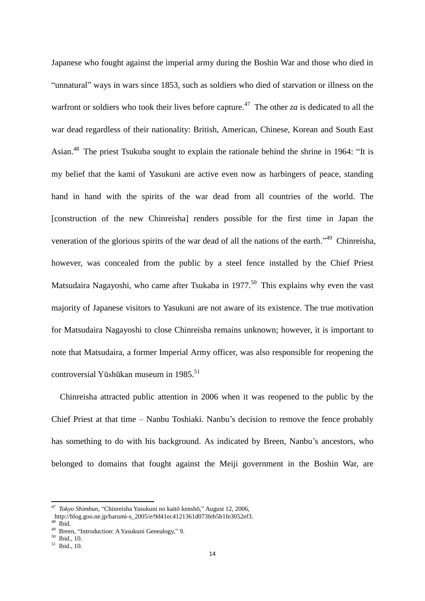Japanese who fought against the imperial army during the Boshin War and those who died in "unnatural" ways in wars since 1853, such as soldiers who died of starvation or illness on the warfront or soldiers who took their lives before capture.<sup>47</sup> The other *za* is dedicated to all the war dead regardless of their nationality: British, American, Chinese, Korean and South East Asian.<sup>48</sup> The priest Tsukuba sought to explain the rationale behind the shrine in 1964: "It is my belief that the kami of Yasukuni are active even now as harbingers of peace, standing hand in hand with the spirits of the war dead from all countries of the world. The [construction of the new Chinreisha] renders possible for the first time in Japan the veneration of the glorious spirits of the war dead of all the nations of the earth."<sup>49</sup> Chinreisha, however, was concealed from the public by a steel fence installed by the Chief Priest Matsudaira Nagayoshi, who came after Tsukaba in 1977.<sup>50</sup> This explains why even the vast majority of Japanese visitors to Yasukuni are not aware of its existence. The true motivation for Matsudaira Nagayoshi to close Chinreisha remains unknown; however, it is important to note that Matsudaira, a former Imperial Army officer, was also responsible for reopening the controversial Yūshūkan museum in 1985.<sup>51</sup>

Chinreisha attracted public attention in 2006 when it was reopened to the public by the Chief Priest at that time – Nanbu Toshiaki. Nanbu's decision to remove the fence probably has something to do with his background. As indicated by Breen, Nanbu's ancestors, who belonged to domains that fought against the Meiji government in the Boshin War, are

<sup>47</sup> *Tokyo Shimbun*, "Chinreisha Yasukuni no kaitō kenshō," August 12, 2006,

http://blog.goo.ne.jp/harumi-s\_2005/e/9d41ec4121361d073feb5b1fe3052ef3.

 $48$  Ibid.

<sup>49</sup> Breen, "Introduction: A Yasukuni Genealogy," 9.

<sup>50</sup> Ibid., 10.

<sup>51</sup> Ibid., 10.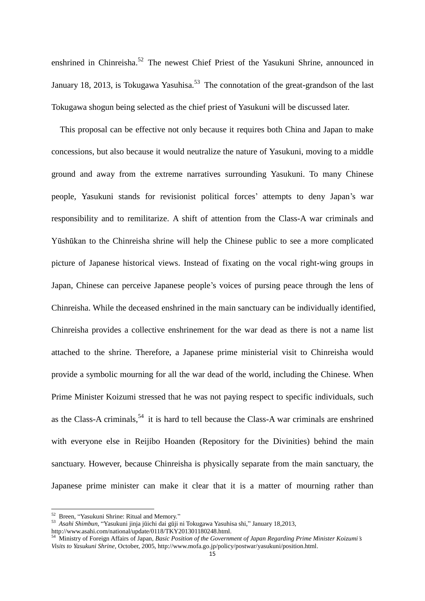enshrined in Chinreisha.<sup>52</sup> The newest Chief Priest of the Yasukuni Shrine, announced in January 18, 2013, is Tokugawa Yasuhisa.<sup>53</sup> The connotation of the great-grandson of the last Tokugawa shogun being selected as the chief priest of Yasukuni will be discussed later.

This proposal can be effective not only because it requires both China and Japan to make concessions, but also because it would neutralize the nature of Yasukuni, moving to a middle ground and away from the extreme narratives surrounding Yasukuni. To many Chinese people, Yasukuni stands for revisionist political forces' attempts to deny Japan's war responsibility and to remilitarize. A shift of attention from the Class-A war criminals and Yūshūkan to the Chinreisha shrine will help the Chinese public to see a more complicated picture of Japanese historical views. Instead of fixating on the vocal right-wing groups in Japan, Chinese can perceive Japanese people's voices of pursing peace through the lens of Chinreisha. While the deceased enshrined in the main sanctuary can be individually identified, Chinreisha provides a collective enshrinement for the war dead as there is not a name list attached to the shrine. Therefore, a Japanese prime ministerial visit to Chinreisha would provide a symbolic mourning for all the war dead of the world, including the Chinese. When Prime Minister Koizumi stressed that he was not paying respect to specific individuals, such as the Class-A criminals,  $54$  it is hard to tell because the Class-A war criminals are enshrined with everyone else in Reijibo Hoanden (Repository for the Divinities) behind the main sanctuary. However, because Chinreisha is physically separate from the main sanctuary, the Japanese prime minister can make it clear that it is a matter of mourning rather than

<sup>&</sup>lt;sup>52</sup> Breen, "Yasukuni Shrine: Ritual and Memory."

<sup>53</sup> *Asahi Shimbun*, "Yasukuni jinja jūichi dai gūji ni Tokugawa Yasuhisa shi," January 18,2013,

http://www.asahi.com/national/update/0118/TKY201301180248.html.

<sup>54</sup> Ministry of Foreign Affairs of Japan, *Basic Position of the Government of Japan Regarding Prime Minister Koizumi's Visits to Yasukuni Shrine,* October, 2005, http://www.mofa.go.jp/policy/postwar/yasukuni/position.html.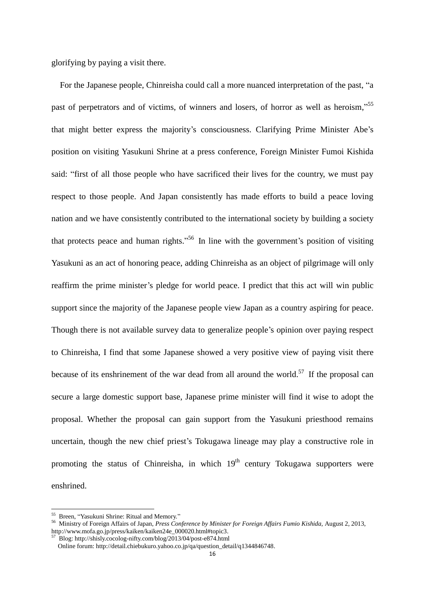glorifying by paying a visit there.

For the Japanese people, Chinreisha could call a more nuanced interpretation of the past, "a past of perpetrators and of victims, of winners and losers, of horror as well as heroism,"<sup>55</sup> that might better express the majority's consciousness. Clarifying Prime Minister Abe's position on visiting Yasukuni Shrine at a press conference, Foreign Minister Fumoi Kishida said: "first of all those people who have sacrificed their lives for the country, we must pay respect to those people. And Japan consistently has made efforts to build a peace loving nation and we have consistently contributed to the international society by building a society that protects peace and human rights."<sup>56</sup> In line with the government's position of visiting Yasukuni as an act of honoring peace, adding Chinreisha as an object of pilgrimage will only reaffirm the prime minister's pledge for world peace. I predict that this act will win public support since the majority of the Japanese people view Japan as a country aspiring for peace. Though there is not available survey data to generalize people's opinion over paying respect to Chinreisha, I find that some Japanese showed a very positive view of paying visit there because of its enshrinement of the war dead from all around the world.<sup>57</sup> If the proposal can secure a large domestic support base, Japanese prime minister will find it wise to adopt the proposal. Whether the proposal can gain support from the Yasukuni priesthood remains uncertain, though the new chief priest's Tokugawa lineage may play a constructive role in promoting the status of Chinreisha, in which  $19<sup>th</sup>$  century Tokugawa supporters were enshrined.

<sup>&</sup>lt;sup>55</sup> Breen, "Yasukuni Shrine: Ritual and Memory."

<sup>56</sup> Ministry of Foreign Affairs of Japan, *Press Conference by Minister for Foreign Affairs Fumio Kishida,* August 2, 2013, http://www.mofa.go.jp/press/kaiken/kaiken24e\_000020.html#topic3.

<sup>57</sup> Blog: http://shisly.cocolog-nifty.com/blog/2013/04/post-e874.html

Online forum: http://detail.chiebukuro.yahoo.co.jp/qa/question\_detail/q1344846748.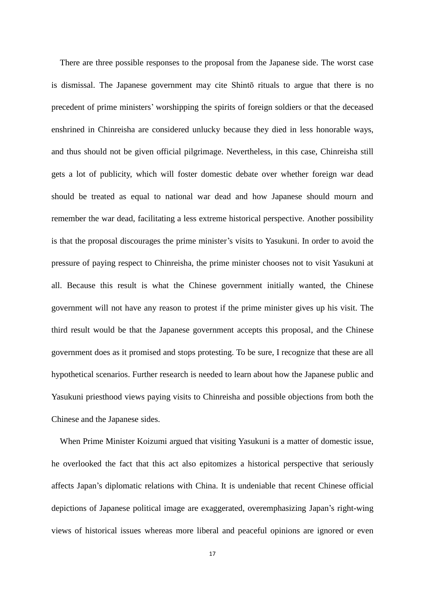There are three possible responses to the proposal from the Japanese side. The worst case is dismissal. The Japanese government may cite Shintō rituals to argue that there is no precedent of prime ministers' worshipping the spirits of foreign soldiers or that the deceased enshrined in Chinreisha are considered unlucky because they died in less honorable ways, and thus should not be given official pilgrimage. Nevertheless, in this case, Chinreisha still gets a lot of publicity, which will foster domestic debate over whether foreign war dead should be treated as equal to national war dead and how Japanese should mourn and remember the war dead, facilitating a less extreme historical perspective. Another possibility is that the proposal discourages the prime minister's visits to Yasukuni. In order to avoid the pressure of paying respect to Chinreisha, the prime minister chooses not to visit Yasukuni at all. Because this result is what the Chinese government initially wanted, the Chinese government will not have any reason to protest if the prime minister gives up his visit. The third result would be that the Japanese government accepts this proposal, and the Chinese government does as it promised and stops protesting. To be sure, I recognize that these are all hypothetical scenarios. Further research is needed to learn about how the Japanese public and Yasukuni priesthood views paying visits to Chinreisha and possible objections from both the Chinese and the Japanese sides.

When Prime Minister Koizumi argued that visiting Yasukuni is a matter of domestic issue, he overlooked the fact that this act also epitomizes a historical perspective that seriously affects Japan's diplomatic relations with China. It is undeniable that recent Chinese official depictions of Japanese political image are exaggerated, overemphasizing Japan's right-wing views of historical issues whereas more liberal and peaceful opinions are ignored or even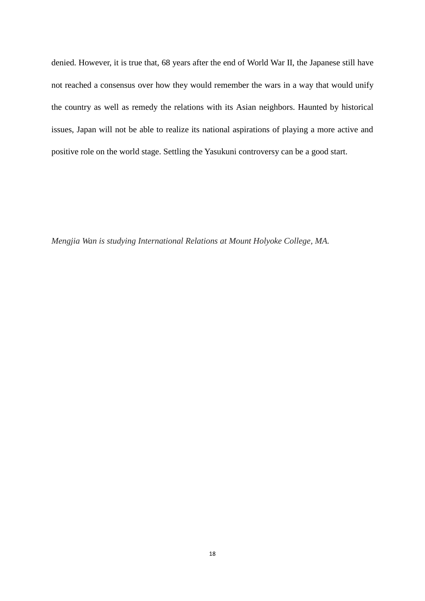denied. However, it is true that, 68 years after the end of World War II, the Japanese still have not reached a consensus over how they would remember the wars in a way that would unify the country as well as remedy the relations with its Asian neighbors. Haunted by historical issues, Japan will not be able to realize its national aspirations of playing a more active and positive role on the world stage. Settling the Yasukuni controversy can be a good start.

*Mengjia Wan is studying International Relations at Mount Holyoke College, MA.*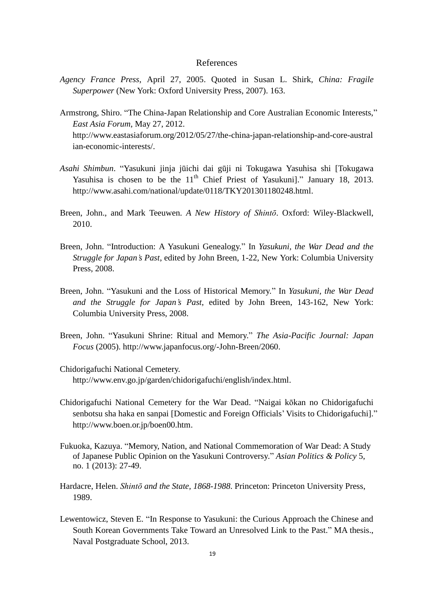# References

- *Agency France Press*, April 27, 2005. Quoted in Susan L. Shirk, *China: Fragile Superpower* (New York: Oxford University Press, 2007). 163.
- Armstrong, Shiro. "The China-Japan Relationship and Core Australian Economic Interests," *East Asia Forum*, May 27, 2012. http://www.eastasiaforum.org/2012/05/27/the-china-japan-relationship-and-core-austral ian-economic-interests/.
- *Asahi Shimbun*. "Yasukuni jinja jūichi dai gūji ni Tokugawa Yasuhisa shi [Tokugawa Yasuhisa is chosen to be the  $11<sup>th</sup>$  Chief Priest of Yasukuni]." January 18, 2013. http://www.asahi.com/national/update/0118/TKY201301180248.html.
- Breen, John., and Mark Teeuwen. *A New History of Shintō*. Oxford: Wiley-Blackwell, 2010.
- Breen, John. "Introduction: A Yasukuni Genealogy." In *Yasukuni, the War Dead and the Struggle for Japan's Past*, edited by John Breen, 1-22, New York: Columbia University Press, 2008.
- Breen, John. "Yasukuni and the Loss of Historical Memory." In *Yasukuni, the War Dead and the Struggle for Japan's Past*, edited by John Breen, 143-162, New York: Columbia University Press, 2008.
- Breen, John. "Yasukuni Shrine: Ritual and Memory." *The Asia-Pacific Journal: Japan Focus* (2005). http://www.japanfocus.org/-John-Breen/2060.
- Chidorigafuchi National Cemetery. http://www.env.go.jp/garden/chidorigafuchi/english/index.html.
- Chidorigafuchi National Cemetery for the War Dead. "Naigai kōkan no Chidorigafuchi senbotsu sha haka en sanpai [Domestic and Foreign Officials' Visits to Chidorigafuchi]." http://www.boen.or.jp/boen00.htm.
- Fukuoka, Kazuya. "Memory, Nation, and National Commemoration of War Dead: A Study of Japanese Public Opinion on the Yasukuni Controversy." *Asian Politics & Policy* 5, no. 1 (2013): 27-49.
- Hardacre, Helen. *Shintō and the State, 1868-1988*. Princeton: Princeton University Press, 1989.
- Lewentowicz, Steven E. "In Response to Yasukuni: the Curious Approach the Chinese and South Korean Governments Take Toward an Unresolved Link to the Past." MA thesis., Naval Postgraduate School, 2013.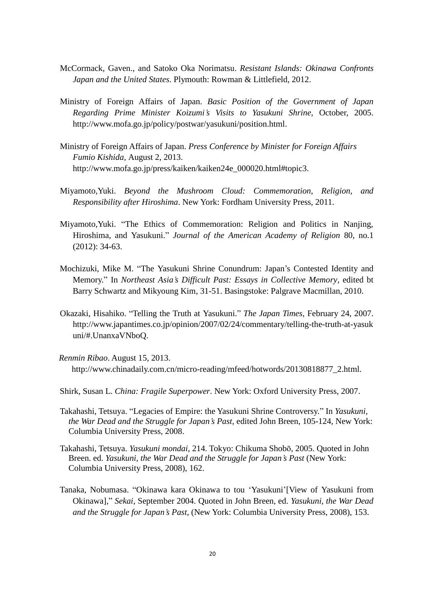- McCormack, Gaven., and Satoko Oka Norimatsu. *Resistant Islands: Okinawa Confronts Japan and the United States*. Plymouth: Rowman & Littlefield, 2012.
- Ministry of Foreign Affairs of Japan. *Basic Position of the Government of Japan Regarding Prime Minister Koizumi's Visits to Yasukuni Shrine,* October, 2005. http://www.mofa.go.jp/policy/postwar/yasukuni/position.html.
- Ministry of Foreign Affairs of Japan. *Press Conference by Minister for Foreign Affairs Fumio Kishida,* August 2, 2013. http://www.mofa.go.jp/press/kaiken/kaiken24e\_000020.html#topic3.
- Miyamoto,Yuki. *Beyond the Mushroom Cloud: Commemoration, Religion, and Responsibility after Hiroshima*. New York: Fordham University Press, 2011.
- Miyamoto,Yuki. "The Ethics of Commemoration: Religion and Politics in Nanjing, Hiroshima, and Yasukuni." *Journal of the American Academy of Religion* 80, no.1 (2012): 34-63.
- Mochizuki, Mike M. "The Yasukuni Shrine Conundrum: Japan's Contested Identity and Memory." In *Northeast Asia's Difficult Past: Essays in Collective Memory*, edited bt Barry Schwartz and Mikyoung Kim, 31-51. Basingstoke: Palgrave Macmillan, 2010.
- Okazaki, Hisahiko. "Telling the Truth at Yasukuni." *The Japan Times*, February 24, 2007. http://www.japantimes.co.jp/opinion/2007/02/24/commentary/telling-the-truth-at-yasuk uni/#.UnanxaVNboQ.
- *Renmin Ribao*. August 15, 2013. http://www.chinadaily.com.cn/micro-reading/mfeed/hotwords/20130818877\_2.html.
- Shirk, Susan L. *China: Fragile Superpower*. New York: Oxford University Press, 2007.
- Takahashi, Tetsuya. "Legacies of Empire: the Yasukuni Shrine Controversy." In *Yasukuni, the War Dead and the Struggle for Japan's Past*, edited John Breen, 105-124, New York: Columbia University Press, 2008.
- Takahashi, Tetsuya. *Yasukuni mondai*, 214. Tokyo: Chikuma Shobō, 2005. Quoted in John Breen. ed. *Yasukuni, the War Dead and the Struggle for Japan's Past* (New York: Columbia University Press, 2008), 162.
- Tanaka, Nobumasa. "Okinawa kara Okinawa to tou 'Yasukuni'[View of Yasukuni from Okinawa]," *Sekai*, September 2004. Quoted in John Breen, ed. *Yasukuni, the War Dead and the Struggle for Japan's Past*, (New York: Columbia University Press, 2008), 153.